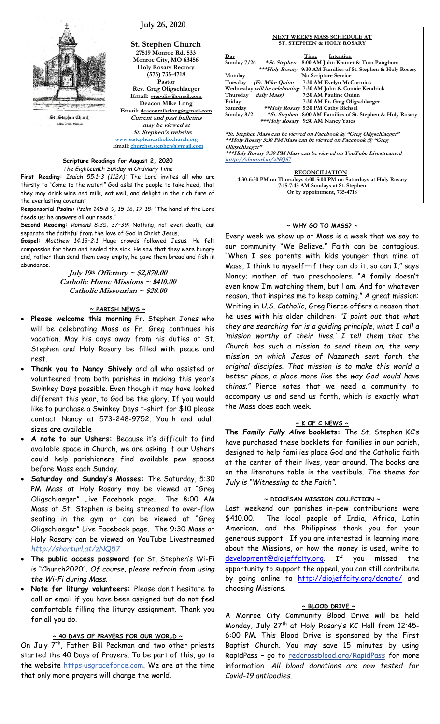

 **July 26, 2020**

**St. Stephen Church 27519 Monroe Rd. 533 Monroe City, MO 63456 Holy Rosary Rectory (573) 735-4718 Pastor Rev. Greg Oligschlaeger Email: gregolig@gmail.com Deacon Mike Long Email: deaconmikelong@gmail.com Current and past bulletins may be viewed at St. Stephen's website: [www.ststephencatholicchurch.org](http://www.ststephencatholicchurch.org/) Email: [churchst.stephen@gmail.com](mailto:churchst.stephen@gmail.com)**

### **Scripture Readings for August 2, 2020** *The Eighteenth Sunday in Ordinary Time*

**First Reading:** *Isaiah 55:1–3 (112A):* The Lord invites all who are thirsty to "Come to the water!" God asks the people to take heed, that they may drink wine and milk, eat well, and delight in the rich fare of the everlasting covenant

R**esponsorial Psalm:** *Psalm 145:8–9, 15–16, 17–18:* "The hand of the Lord feeds us; he answers all our needs."

**Second Reading:** *Romans 8:35, 37–39:* Nothing, not even death, can separate the faithful from the love of God in Christ Jesus.

**Gospel:** *Matthew 14:13–2:1* Huge crowds followed Jesus. He felt compassion for them and healed the sick. He saw that they were hungry and, rather than send them away empty, he gave them bread and fish in abundance.

**July 19th Offertory ~ \$2,870.00 Catholic Home Missions ~ \$410.00 Catholic Missourian ~ \$28.00**

# **~ PARISH NEWS ~**

- **Please welcome this morning** Fr. Stephen Jones who will be celebrating Mass as Fr. Greg continues his vacation. May his days away from his duties at St. Stephen and Holy Rosary be filled with peace and rest.
- **Thank you to Nancy Shively** and all who assisted or volunteered from both parishes in making this year's Swinkey Days possible. Even though it may have looked different this year, to God be the glory. If you would like to purchase a Swinkey Days t-shirt for \$10 please contact Nancy at 573-248-9752. Youth and adult sizes are available
- **A note to our Ushers:** Because it's difficult to find available space in Church, we are asking if our Ushers could help parishioners find available pew spaces before Mass each Sunday.
- **Saturday and Sunday's Masses:** The Saturday, 5:30 PM Mass at Holy Rosary may be viewed at "Greg Oligschlaeger" Live Facebook page. The 8:00 AM Mass at St. Stephen is being streamed to over-flow seating in the gym or can be viewed at "Greg Oligschlaeger" Live Facebook page. The 9:30 Mass at Holy Rosary can be viewed on YouTube Livestreamed *http://shorturl.at/zNQ57*
- **The public access password** for St. Stephen's Wi-Fi is "Church2020". *Of course,* p*lease refrain from using the Wi-Fi during Mass.*
- **Note for liturgy volunteers:** Please don't hesitate to call or email if you have been assigned but do not feel comfortable filling the liturgy assignment. Thank you for all you do.

# **~ 40 DAYS OF PRAYERS FOR OUR WORLD ~**

On July 7<sup>th</sup>, Father Bill Peckman and two other priests started the 40 Days of Prayers. To be part of this, go to the website https:usgraceforce.com. We are at the time that only more prayers will change the world.

#### **NEXT WEEK'S MASS SCHEDULE AT ST. STEPHEN & HOLY ROSARY**

| Day<br>Sunday $7/26$ * St. Stephen<br>8:00 AM John Kramer & Tom Pangborn<br>***Holy Rosary<br>9:30 AM Families of St. Stephen & Holy Rosary<br>No Scripture Service<br>Monday<br>7:30 AM Evelyn McCormick<br>Tuesdav<br>(Fr. Mike Quinn<br>Wednesday will be celebrating 7:30 AM John & Connie Kendrick<br>Thursday <i>daily Mass</i> )<br>7:30 AM Pauline Quinn<br>Friday<br>7:30 AM Fr. Greg Oligschlaeger<br>**Holy Rosary 5:30 PM Cathy Bichsel<br>Saturday<br>Sunday $8/2$<br>*St. Stephen 8:00 AM Families of St. Stephen & Holy Rosary<br>***Holy Rosary 9:30 AM Nancy Yates<br>*St. Stephen Mass can be viewed on Facebook @ "Greg Oligschlaeger"<br>**Holy Rosary 5:30 PM Mass can be viewed on Facebook @ "Greg<br>Oligschlaeger"<br>***Holy Rosary 9:30 PM Mass can be viewed on YouTube Livestreamed<br>htttp://shorturl.at/zNQ57 |  | Time<br>Intention |  |  |  |
|-----------------------------------------------------------------------------------------------------------------------------------------------------------------------------------------------------------------------------------------------------------------------------------------------------------------------------------------------------------------------------------------------------------------------------------------------------------------------------------------------------------------------------------------------------------------------------------------------------------------------------------------------------------------------------------------------------------------------------------------------------------------------------------------------------------------------------------------------|--|-------------------|--|--|--|
|                                                                                                                                                                                                                                                                                                                                                                                                                                                                                                                                                                                                                                                                                                                                                                                                                                               |  |                   |  |  |  |
|                                                                                                                                                                                                                                                                                                                                                                                                                                                                                                                                                                                                                                                                                                                                                                                                                                               |  |                   |  |  |  |
|                                                                                                                                                                                                                                                                                                                                                                                                                                                                                                                                                                                                                                                                                                                                                                                                                                               |  |                   |  |  |  |
|                                                                                                                                                                                                                                                                                                                                                                                                                                                                                                                                                                                                                                                                                                                                                                                                                                               |  |                   |  |  |  |
|                                                                                                                                                                                                                                                                                                                                                                                                                                                                                                                                                                                                                                                                                                                                                                                                                                               |  |                   |  |  |  |
|                                                                                                                                                                                                                                                                                                                                                                                                                                                                                                                                                                                                                                                                                                                                                                                                                                               |  |                   |  |  |  |
|                                                                                                                                                                                                                                                                                                                                                                                                                                                                                                                                                                                                                                                                                                                                                                                                                                               |  |                   |  |  |  |
|                                                                                                                                                                                                                                                                                                                                                                                                                                                                                                                                                                                                                                                                                                                                                                                                                                               |  |                   |  |  |  |
|                                                                                                                                                                                                                                                                                                                                                                                                                                                                                                                                                                                                                                                                                                                                                                                                                                               |  |                   |  |  |  |
|                                                                                                                                                                                                                                                                                                                                                                                                                                                                                                                                                                                                                                                                                                                                                                                                                                               |  |                   |  |  |  |
|                                                                                                                                                                                                                                                                                                                                                                                                                                                                                                                                                                                                                                                                                                                                                                                                                                               |  |                   |  |  |  |
|                                                                                                                                                                                                                                                                                                                                                                                                                                                                                                                                                                                                                                                                                                                                                                                                                                               |  |                   |  |  |  |
|                                                                                                                                                                                                                                                                                                                                                                                                                                                                                                                                                                                                                                                                                                                                                                                                                                               |  |                   |  |  |  |
|                                                                                                                                                                                                                                                                                                                                                                                                                                                                                                                                                                                                                                                                                                                                                                                                                                               |  |                   |  |  |  |
|                                                                                                                                                                                                                                                                                                                                                                                                                                                                                                                                                                                                                                                                                                                                                                                                                                               |  |                   |  |  |  |
|                                                                                                                                                                                                                                                                                                                                                                                                                                                                                                                                                                                                                                                                                                                                                                                                                                               |  |                   |  |  |  |
|                                                                                                                                                                                                                                                                                                                                                                                                                                                                                                                                                                                                                                                                                                                                                                                                                                               |  |                   |  |  |  |
| <b>DECOMCILIATION</b>                                                                                                                                                                                                                                                                                                                                                                                                                                                                                                                                                                                                                                                                                                                                                                                                                         |  |                   |  |  |  |

**RECONCILIATION 4:30-6:30 PM on Thursdays 4:00-5:00 PM on Saturdays at Holy Rosary 7:15-7:45 AM Sundays at St. Stephen Or by appointment, 735-4718**

# **~ WHY GO TO MASS? ~**

Every week we show up at Mass is a week that we say to our community "We Believe." Faith can be contagious. "When I see parents with kids younger than mine at Mass, I think to myself—if they can do it, so can I," says Nancy; mother of two preschoolers. "A family doesn't even know I'm watching them, but l am. And for whatever reason, that inspires me to keep coming." A great mission: Writing in *U.S. Catholic*, Greg Pierce offers a reason that he uses with his older children: *"I point out that what they are searching for is a guiding principle, what I call a 'mission worthy of their lives.' I tell them that the Church has such a mission to send them on, the very mission on which Jesus of Nazareth sent forth the original disciples. That mission is to make this world a better place, a place more like the way God would have things."* Pierce notes that we need a community to accompany us and send us forth, which is exactly what the Mass does each week.

### **~ K OF C NEWS ~**

**The** *Family Fully Alive* **booklets:** The St. Stephen KC's have purchased these booklets for families in our parish, designed to help families place God and the Catholic faith at the center of their lives, year around. The books are on the literature table in the vestibule. *The theme for July is "Witnessing to the Faith"*.

# **~ DIOCESAN MISSION COLLECTION ~**

Last weekend our parishes in-pew contributions were \$410.00. The local people of India, Africa, Latin American, and the Philippines thank you for your generous support. If you are interested in learning more about the Missions, or how the money is used, write to [development@diojeffcity.org.](mailto:development@diojeffcity.org) If you missed the opportunity to support the appeal, you can still contribute by going online to <http://diojeffcity.org/donate/> and choosing Missions.

### **~ BLOOD DRIVE ~**

A Monroe City Community Blood Drive will be held Monday, July 27th at Holy Rosary's KC Hall from 12:45- 6:00 PM. This Blood Drive is sponsored by the First Baptist Church. You may save 15 minutes by using RapidPass - go to **redcrossblood.org/RapidPass** for more information*. All blood donations are now tested for Covid-19 antibodies.*